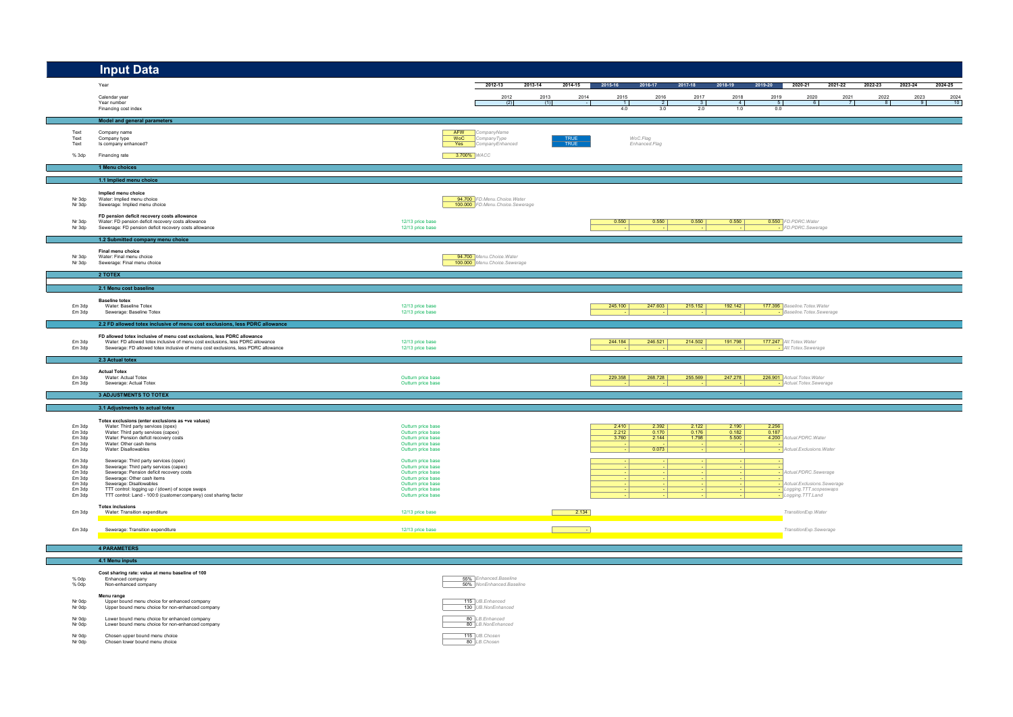|                                      | <b>Input Data</b>                                                                                                                                                                                                                              |                                                                                      |                                                                |         |              |                         |                                            |                         |                                            |                       |                                                               |                |         |         |         |
|--------------------------------------|------------------------------------------------------------------------------------------------------------------------------------------------------------------------------------------------------------------------------------------------|--------------------------------------------------------------------------------------|----------------------------------------------------------------|---------|--------------|-------------------------|--------------------------------------------|-------------------------|--------------------------------------------|-----------------------|---------------------------------------------------------------|----------------|---------|---------|---------|
|                                      | Year                                                                                                                                                                                                                                           |                                                                                      | 2012-13                                                        | 2013-14 | 2014-15      | 2015-16                 | 2016-17                                    | 2017-18                 | 2018-19                                    | 2019-20               | 2020-21                                                       | 2021-22        | 2022-23 | 2023-24 | 2024-25 |
|                                      | Calendar year                                                                                                                                                                                                                                  |                                                                                      | 2012                                                           | 2013    | 2014         | 2015                    | 2016                                       | 2017                    | 2018                                       | 2019                  | 2020                                                          |                |         |         | 2024    |
|                                      | Year number<br>Financing cost index                                                                                                                                                                                                            |                                                                                      | (2)                                                            | (1)     |              | 11<br>4.0               | $\overline{2}$<br>3.0                      | 3 <sup>1</sup><br>2.0   | $\sim$ 4<br>1.0                            | 5 <sup>1</sup><br>0.0 | -6.                                                           | $\overline{7}$ |         |         | 10      |
|                                      | Model and general parameters                                                                                                                                                                                                                   |                                                                                      |                                                                |         |              |                         |                                            |                         |                                            |                       |                                                               |                |         |         |         |
| Text                                 | Company name                                                                                                                                                                                                                                   |                                                                                      | <b>AFW</b> CompanyName                                         |         |              |                         |                                            |                         |                                            |                       |                                                               |                |         |         |         |
| Text<br>Text                         | Company type<br>Is company enhanced?                                                                                                                                                                                                           | <b>WoC</b>                                                                           | CompanyType<br>Yes CompanyEnhanced                             |         | TRUE<br>TRUE |                         | WoC.Flag<br>Enhanced.Flag                  |                         |                                            |                       |                                                               |                |         |         |         |
| % 3dp                                | Financing rate                                                                                                                                                                                                                                 |                                                                                      | 3.700% WACC                                                    |         |              |                         |                                            |                         |                                            |                       |                                                               |                |         |         |         |
|                                      | 1 Menu choices                                                                                                                                                                                                                                 |                                                                                      |                                                                |         |              |                         |                                            |                         |                                            |                       |                                                               |                |         |         |         |
|                                      | 1.1 Implied menu choice                                                                                                                                                                                                                        |                                                                                      |                                                                |         |              |                         |                                            |                         |                                            |                       |                                                               |                |         |         |         |
| Nr 3dp<br>Nr 3dp                     | Implied menu choice<br>Water: Implied menu choice<br>Sewerage: Implied menu choice                                                                                                                                                             |                                                                                      | 94.700 FD.Menu.Choice.Water<br>100.000 FD.Menu.Choice.Sewerage |         |              |                         |                                            |                         |                                            |                       |                                                               |                |         |         |         |
| Nr 3dp<br>Nr 3dp                     | FD pension deficit recovery costs allowance<br>Water: FD pension deficit recovery costs allowance<br>Sewerage: FD pension deficit recovery costs allowance                                                                                     | 12/13 price base<br>12/13 price base                                                 |                                                                |         |              | 0.550                   | 0.550                                      | 0.550                   | 0.550<br><b>College</b>                    |                       | <b>0.550</b> FD.PDRC. Water<br>- FD.PDRC.Sewerage             |                |         |         |         |
|                                      | 1.2 Submitted company menu choice                                                                                                                                                                                                              |                                                                                      |                                                                |         |              |                         |                                            |                         |                                            |                       |                                                               |                |         |         |         |
| Nr 3dp<br>Nr 3dp                     | Final menu choice<br>Water: Final menu choice<br>Sewerage: Final menu choice                                                                                                                                                                   |                                                                                      | 94.700 Menu. Choice. Water<br>100.000 Menu. Choice. Sewerage   |         |              |                         |                                            |                         |                                            |                       |                                                               |                |         |         |         |
|                                      | 2 TOTEX                                                                                                                                                                                                                                        |                                                                                      |                                                                |         |              |                         |                                            |                         |                                            |                       |                                                               |                |         |         |         |
|                                      | 2.1 Menu cost baseline                                                                                                                                                                                                                         |                                                                                      |                                                                |         |              |                         |                                            |                         |                                            |                       |                                                               |                |         |         |         |
| £m 3dp<br>£m 3dp                     | <b>Baseline totex</b><br>Water: Baseline Totex<br>Sewerage: Baseline Totex                                                                                                                                                                     | 12/13 price base<br>12/13 price base                                                 |                                                                |         |              | 245.100                 | 247.603                                    | 215.152                 | 192.142                                    |                       | 177.395 Baseline. Totex. Water<br>- Baseline. Totex. Sewerage |                |         |         |         |
|                                      | 2.2 FD allowed totex inclusive of menu cost exclusions, less PDRC allowance                                                                                                                                                                    |                                                                                      |                                                                |         |              |                         |                                            |                         |                                            |                       |                                                               |                |         |         |         |
| £m 3dp<br>£m 3dp                     | FD allowed totex inclusive of menu cost exclusions, less PDRC allowance<br>Water: FD allowed totex inclusive of menu cost exclusions, less PDRC allowance<br>Sewerage: FD allowed totex inclusive of menu cost exclusions, less PDRC allowance | 12/13 price base<br>12/13 price base                                                 |                                                                |         |              | 244.184                 | 246.521                                    | 214.502                 | 191.798                                    |                       | 177.247 All. Totex. Water<br>- All. Totex. Sewerage           |                |         |         |         |
|                                      | 2.3 Actual totex                                                                                                                                                                                                                               |                                                                                      |                                                                |         |              |                         |                                            |                         |                                            |                       |                                                               |                |         |         |         |
| £m 3dp<br>£m 3dp                     | <b>Actual Totex</b><br>Water: Actual Totex<br>Sewerage: Actual Totex                                                                                                                                                                           | Outturn price base<br>Outturn price base                                             |                                                                |         |              | 229.358                 | 268.728                                    | 255.569                 | 247.278                                    |                       | 226.901 Actual. Totex. Water<br>- Actual Totex Sewerage       |                |         |         |         |
|                                      | <b>3 ADJUSTMENTS TO TOTEX</b>                                                                                                                                                                                                                  |                                                                                      |                                                                |         |              |                         |                                            |                         |                                            |                       |                                                               |                |         |         |         |
|                                      | 3.1 Adjustments to actual totex                                                                                                                                                                                                                |                                                                                      |                                                                |         |              |                         |                                            |                         |                                            |                       |                                                               |                |         |         |         |
| £m 3dp<br>£m 3dp<br>£m 3dp<br>£m 3dp | Totex exclusions (enter exclusions as +ve values)<br>Water: Third party services (opex)<br>Water: Third party services (capex)<br>Water: Pension deficit recovery costs<br>Water: Other cash items                                             | Outturn price base<br>Outturn price base<br>Outturn price base<br>Outturn price base |                                                                |         |              | 2.410<br>2.212<br>3.760 | 2.392<br>0.170<br>2.144<br><b>Contract</b> | 2.122<br>0.176<br>1.798 | 2.190<br>0.182<br>5.500<br><b>Contract</b> | 2.256<br>0.187        | 4.200 Actual PDRC Water                                       |                |         |         |         |
| £m 3dp<br>£m 3dp                     | Water: Disallowables<br>Sewerage: Third party services (opex)                                                                                                                                                                                  | Outturn price base<br>Outturn price base                                             |                                                                |         |              |                         | $\boxed{0.073}$<br>- 1                     |                         | - 1                                        |                       | - Actual. Exclusions. Water                                   |                |         |         |         |
| £m 3dp<br>£m 3dp<br>£m 3dp           | Sewerage: Third party services (capex)<br>Sewerage: Pension deficit recovery costs<br>Sewerage: Other cash items                                                                                                                               | Outturn price base<br>Outturn price base<br>Outturn price base                       |                                                                |         |              |                         | - 1<br>- 1                                 |                         | - 1<br>- 1                                 |                       | - Actual.PDRC.Sewerage                                        |                |         |         |         |
| £m 3dp<br>£m 3dp                     | Sewerage: Disallowables<br>TTT control: logging up / (down) of scope swaps                                                                                                                                                                     | Outturn price base<br>Outturn price base                                             |                                                                |         |              |                         | - 1<br>- 1                                 |                         | - 1<br>- 1                                 |                       | - Actual Exclusions Sewerage<br>- Logging.TTT.scopeswaps      |                |         |         |         |
| £m 3dp                               | TTT control: Land - 100:0 (customer:company) cost sharing factor                                                                                                                                                                               | Outturn price base                                                                   |                                                                |         |              |                         |                                            |                         |                                            |                       | - Logging TTT Land                                            |                |         |         |         |
| £m 3dp                               | <b>Totex inclusions</b><br>Water: Transition expenditure                                                                                                                                                                                       | 12/13 price base                                                                     |                                                                |         | 2.134        |                         |                                            |                         |                                            |                       | TransitionExp.Water                                           |                |         |         |         |
| £m 3dp                               | Sewerage: Transition expenditure                                                                                                                                                                                                               | 12/13 price base                                                                     |                                                                |         |              |                         |                                            |                         |                                            |                       | TransitionExp.Sewerage                                        |                |         |         |         |
|                                      |                                                                                                                                                                                                                                                |                                                                                      |                                                                |         |              |                         |                                            |                         |                                            |                       |                                                               |                |         |         |         |
|                                      | <b>4 PARAMETERS</b>                                                                                                                                                                                                                            |                                                                                      |                                                                |         |              |                         |                                            |                         |                                            |                       |                                                               |                |         |         |         |
| % 0dp<br>% 0dp                       | 4.1 Menu inputs<br>Cost sharing rate: value at menu baseline of 100<br>Enhanced company<br>Non-enhanced company                                                                                                                                |                                                                                      | 55% Enhanced Baseline<br>50% NonEnhanced.Baseline              |         |              |                         |                                            |                         |                                            |                       |                                                               |                |         |         |         |
| Nr 0dp<br>Nr 0dp                     | Menu range<br>Upper bound menu choice for enhanced company<br>Upper bound menu choice for non-enhanced company                                                                                                                                 |                                                                                      | 115 UB.Enhanced<br>130 UB.NonEnhanced                          |         |              |                         |                                            |                         |                                            |                       |                                                               |                |         |         |         |

- Nr 0dp Lower bound menu choice for enhanced company<br>Nr 0dp Lower bound menu choice for non-enhanced company 80 *LB.NonEnhanced* entitled with the state of the state of the state of the state of the state of the state of
- 
- 

Nr 0dp Chosen upper bound menu choice<br>Nr 0dp Chosen lower bound menu choice and the choice and the choice and the choice and the choice and the choice